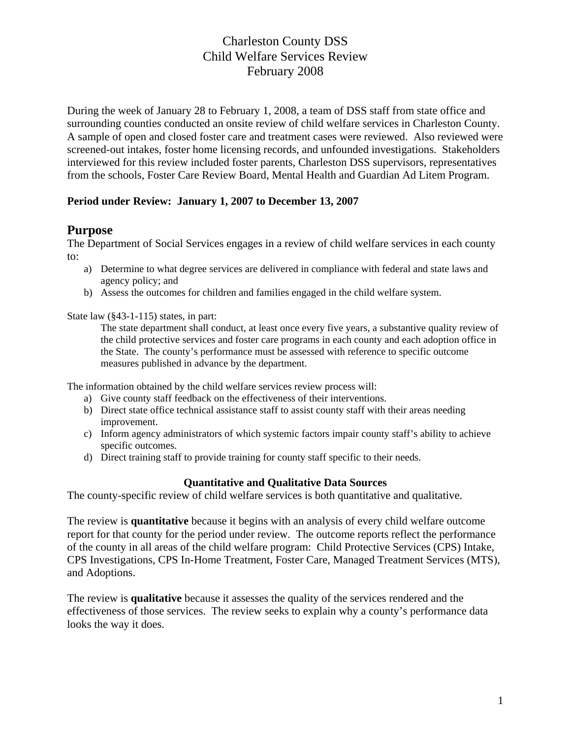During the week of January 28 to February 1, 2008, a team of DSS staff from state office and surrounding counties conducted an onsite review of child welfare services in Charleston County. A sample of open and closed foster care and treatment cases were reviewed. Also reviewed were screened-out intakes, foster home licensing records, and unfounded investigations. Stakeholders interviewed for this review included foster parents, Charleston DSS supervisors, representatives from the schools, Foster Care Review Board, Mental Health and Guardian Ad Litem Program.

#### **Period under Review: January 1, 2007 to December 13, 2007**

#### **Purpose**

The Department of Social Services engages in a review of child welfare services in each county to:

- a) Determine to what degree services are delivered in compliance with federal and state laws and agency policy; and
- b) Assess the outcomes for children and families engaged in the child welfare system.

State law (§43-1-115) states, in part:

The state department shall conduct, at least once every five years, a substantive quality review of the child protective services and foster care programs in each county and each adoption office in the State. The county's performance must be assessed with reference to specific outcome measures published in advance by the department.

The information obtained by the child welfare services review process will:

- a) Give county staff feedback on the effectiveness of their interventions.
- b) Direct state office technical assistance staff to assist county staff with their areas needing improvement.
- c) Inform agency administrators of which systemic factors impair county staff's ability to achieve specific outcomes.
- d) Direct training staff to provide training for county staff specific to their needs.

#### **Quantitative and Qualitative Data Sources**

The county-specific review of child welfare services is both quantitative and qualitative.

The review is **quantitative** because it begins with an analysis of every child welfare outcome report for that county for the period under review. The outcome reports reflect the performance of the county in all areas of the child welfare program: Child Protective Services (CPS) Intake, CPS Investigations, CPS In-Home Treatment, Foster Care, Managed Treatment Services (MTS), and Adoptions.

The review is **qualitative** because it assesses the quality of the services rendered and the effectiveness of those services. The review seeks to explain why a county's performance data looks the way it does.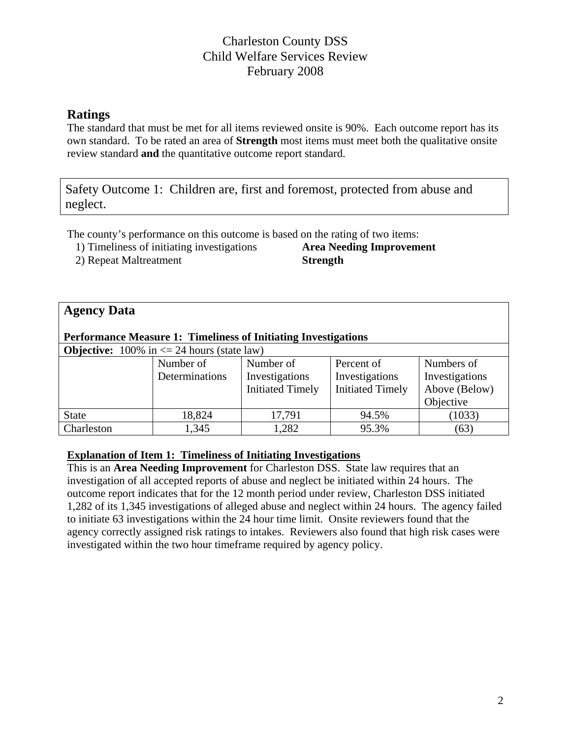# **Ratings**

The standard that must be met for all items reviewed onsite is 90%. Each outcome report has its own standard. To be rated an area of **Strength** most items must meet both the qualitative onsite review standard **and** the quantitative outcome report standard.

Safety Outcome 1: Children are, first and foremost, protected from abuse and neglect.

The county's performance on this outcome is based on the rating of two items:

1) Timeliness of initiating investigations **Area Needing Improvement** 

2) Repeat Maltreatment **Strength** 

# **Agency Data**

#### **Performance Measure 1: Timeliness of Initiating Investigations**

**Objective:**  $100\%$  in  $\leq 24$  hours (state law)

| <b>ODJULITU.</b> TOO70 III $S = 2T$ Hours (state faw) |                |                         |                         |                |  |  |  |
|-------------------------------------------------------|----------------|-------------------------|-------------------------|----------------|--|--|--|
|                                                       | Number of      | Number of               | Percent of              | Numbers of     |  |  |  |
|                                                       | Determinations | Investigations          | Investigations          | Investigations |  |  |  |
|                                                       |                | <b>Initiated Timely</b> | <b>Initiated Timely</b> | Above (Below)  |  |  |  |
|                                                       |                |                         |                         | Objective      |  |  |  |
| <b>State</b>                                          | 18,824         | 17,791                  | 94.5%                   | (1033)         |  |  |  |
| Charleston                                            | 1,345          | 1,282                   | 95.3%                   | (63)           |  |  |  |

#### **Explanation of Item 1: Timeliness of Initiating Investigations**

This is an **Area Needing Improvement** for Charleston DSS. State law requires that an investigation of all accepted reports of abuse and neglect be initiated within 24 hours. The outcome report indicates that for the 12 month period under review, Charleston DSS initiated 1,282 of its 1,345 investigations of alleged abuse and neglect within 24 hours. The agency failed to initiate 63 investigations within the 24 hour time limit. Onsite reviewers found that the agency correctly assigned risk ratings to intakes. Reviewers also found that high risk cases were investigated within the two hour timeframe required by agency policy.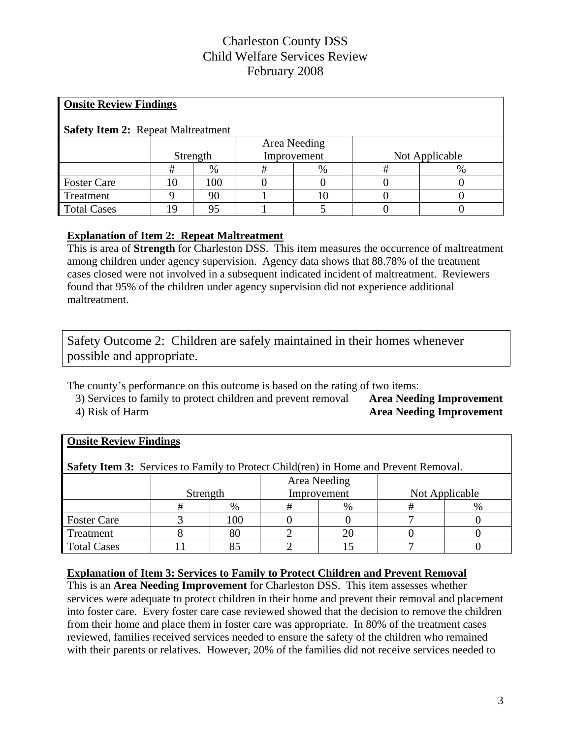| <b>Onsite Review Findings</b>             |              |     |             |    |                |      |  |  |
|-------------------------------------------|--------------|-----|-------------|----|----------------|------|--|--|
| <b>Safety Item 2: Repeat Maltreatment</b> |              |     |             |    |                |      |  |  |
|                                           | Area Needing |     |             |    |                |      |  |  |
|                                           | Strength     |     | Improvement |    | Not Applicable |      |  |  |
|                                           | #            | %   | #           | %  | #              | $\%$ |  |  |
| <b>Foster Care</b>                        | 10           | 100 |             |    |                |      |  |  |
| Treatment                                 | Q            | 90  |             | 10 |                |      |  |  |
| <b>Total Cases</b>                        | 19           | 95  |             |    |                |      |  |  |

#### **Explanation of Item 2: Repeat Maltreatment**

This is area of **Strength** for Charleston DSS. This item measures the occurrence of maltreatment among children under agency supervision. Agency data shows that 88.78% of the treatment cases closed were not involved in a subsequent indicated incident of maltreatment. Reviewers found that 95% of the children under agency supervision did not experience additional maltreatment.

Safety Outcome 2: Children are safely maintained in their homes whenever possible and appropriate.

The county's performance on this outcome is based on the rating of two items:

3) Services to family to protect children and prevent removal **Area Needing Improvement**  4) Risk of Harm **Area Needing Improvement** 

| <b>Onsite Review Findings</b>                                                               |              |     |             |      |                |   |  |  |
|---------------------------------------------------------------------------------------------|--------------|-----|-------------|------|----------------|---|--|--|
| <b>Safety Item 3:</b> Services to Family to Protect Child(ren) in Home and Prevent Removal. |              |     |             |      |                |   |  |  |
|                                                                                             | Area Needing |     |             |      |                |   |  |  |
|                                                                                             | Strength     |     | Improvement |      | Not Applicable |   |  |  |
|                                                                                             | #            | %   | #           | $\%$ | #              | % |  |  |
| <b>Foster Care</b>                                                                          |              | 100 |             |      |                |   |  |  |
| Treatment                                                                                   |              | 80  |             | 20   |                |   |  |  |
| <b>Total Cases</b>                                                                          |              | 85  |             |      |                |   |  |  |

#### **Explanation of Item 3: Services to Family to Protect Children and Prevent Removal**

This is an **Area Needing Improvement** for Charleston DSS. This item assesses whether services were adequate to protect children in their home and prevent their removal and placement into foster care. Every foster care case reviewed showed that the decision to remove the children from their home and place them in foster care was appropriate. In 80% of the treatment cases reviewed, families received services needed to ensure the safety of the children who remained with their parents or relatives. However, 20% of the families did not receive services needed to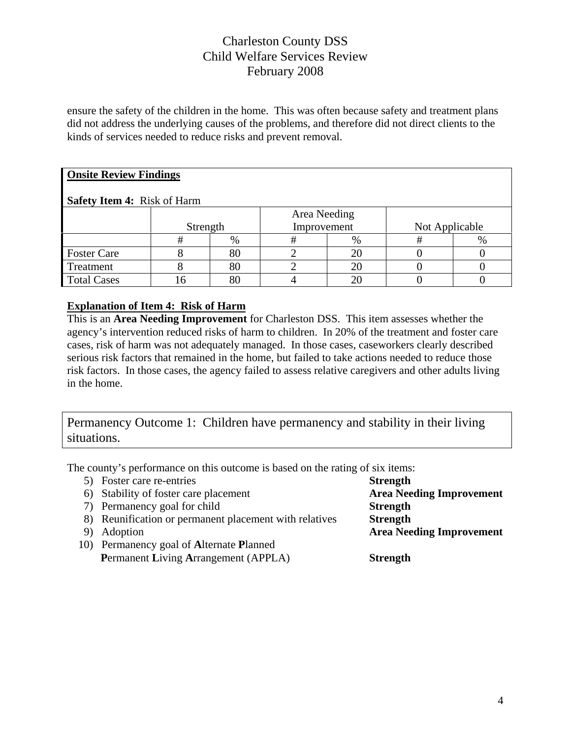ensure the safety of the children in the home. This was often because safety and treatment plans did not address the underlying causes of the problems, and therefore did not direct clients to the kinds of services needed to reduce risks and prevent removal.

# **Onsite Review Findings**

#### **Safety Item 4:** Risk of Harm

|                    | Strength |        | Area Needing<br>Improvement |      | Not Applicable |      |
|--------------------|----------|--------|-----------------------------|------|----------------|------|
|                    |          | $\%$   |                             | $\%$ |                | $\%$ |
| <b>Foster Care</b> |          | 80     |                             |      |                |      |
| Treatment          |          | $80\,$ |                             |      |                |      |
| <b>Total Cases</b> |          | 80     |                             |      |                |      |

#### **Explanation of Item 4: Risk of Harm**

This is an **Area Needing Improvement** for Charleston DSS. This item assesses whether the agency's intervention reduced risks of harm to children. In 20% of the treatment and foster care cases, risk of harm was not adequately managed. In those cases, caseworkers clearly described serious risk factors that remained in the home, but failed to take actions needed to reduce those risk factors. In those cases, the agency failed to assess relative caregivers and other adults living in the home.

Permanency Outcome 1: Children have permanency and stability in their living situations.

The county's performance on this outcome is based on the rating of six items:

| 5) Foster care re-entries                              | <b>Strength</b>                 |
|--------------------------------------------------------|---------------------------------|
| 6) Stability of foster care placement                  | <b>Area Needing Improvement</b> |
| 7) Permanency goal for child                           | <b>Strength</b>                 |
| 8) Reunification or permanent placement with relatives | <b>Strength</b>                 |
| Adoption                                               | <b>Area Needing Improvement</b> |
| 10) Permanency goal of Alternate Planned               |                                 |
| <b>Permanent Living Arrangement (APPLA)</b>            | <b>Strength</b>                 |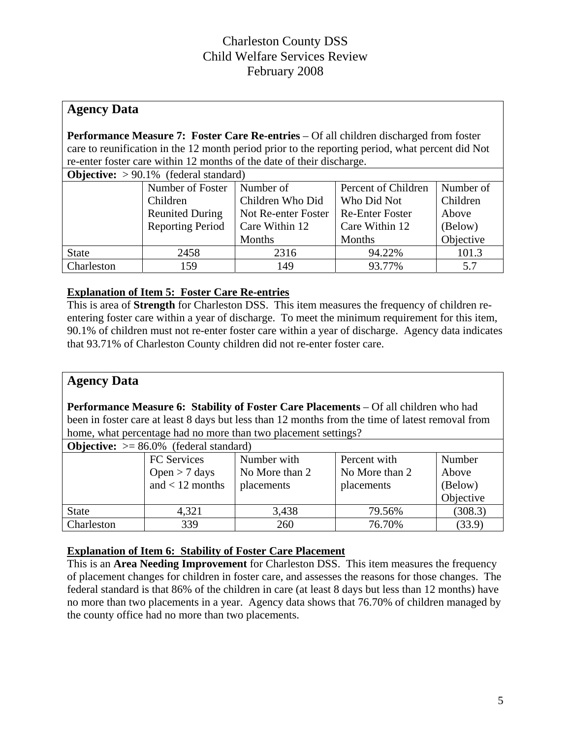# **Agency Data**

**Performance Measure 7: Foster Care Re-entries** – Of all children discharged from foster care to reunification in the 12 month period prior to the reporting period, what percent did Not re-enter foster care within 12 months of the date of their discharge.

| <b>Objective:</b> $> 90.1\%$ (federal standard) |                  |                     |                        |           |  |  |  |
|-------------------------------------------------|------------------|---------------------|------------------------|-----------|--|--|--|
|                                                 | Number of Foster | Number of           | Percent of Children    | Number of |  |  |  |
|                                                 | Children         | Children Who Did    | Who Did Not            | Children  |  |  |  |
| <b>Reunited During</b>                          |                  | Not Re-enter Foster | <b>Re-Enter Foster</b> | Above     |  |  |  |
| <b>Reporting Period</b>                         |                  | Care Within 12      | Care Within 12         | (Below)   |  |  |  |
|                                                 |                  | Months              | <b>Months</b>          | Objective |  |  |  |
| <b>State</b>                                    | 2458             | 2316                | 94.22%                 | 101.3     |  |  |  |
| Charleston                                      | 159              | 149                 | 93.77%                 | 5.7       |  |  |  |

#### **Explanation of Item 5: Foster Care Re-entries**

This is area of **Strength** for Charleston DSS. This item measures the frequency of children reentering foster care within a year of discharge. To meet the minimum requirement for this item, 90.1% of children must not re-enter foster care within a year of discharge. Agency data indicates that 93.71% of Charleston County children did not re-enter foster care.

# **Agency Data**

**Performance Measure 6: Stability of Foster Care Placements** – Of all children who had been in foster care at least 8 days but less than 12 months from the time of latest removal from home, what percentage had no more than two placement settings?

| <b>Objective:</b> $> = 86.0\%$ (federal standard) |                    |                |                |           |  |  |  |
|---------------------------------------------------|--------------------|----------------|----------------|-----------|--|--|--|
|                                                   | <b>FC</b> Services | Number with    | Percent with   | Number    |  |  |  |
|                                                   | Open $> 7$ days    | No More than 2 | No More than 2 | Above     |  |  |  |
|                                                   | and $<$ 12 months  | placements     | placements     | (Below)   |  |  |  |
|                                                   |                    |                |                | Objective |  |  |  |
| <b>State</b>                                      | 4,321              | 3,438          | 79.56%         | (308.3)   |  |  |  |
| Charleston                                        | 339                | 260            | 76.70%         | (33.9)    |  |  |  |

#### **Explanation of Item 6: Stability of Foster Care Placement**

This is an **Area Needing Improvement** for Charleston DSS. This item measures the frequency of placement changes for children in foster care, and assesses the reasons for those changes. The federal standard is that 86% of the children in care (at least 8 days but less than 12 months) have no more than two placements in a year. Agency data shows that 76.70% of children managed by the county office had no more than two placements.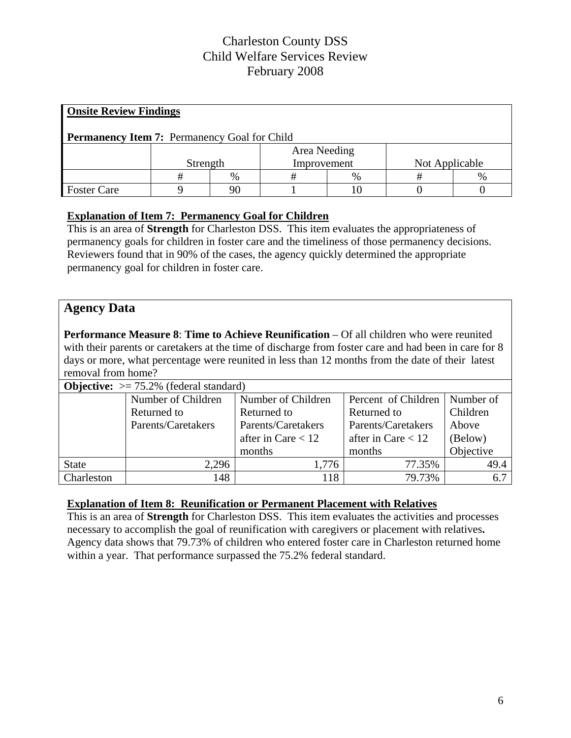| <b>Onsite Review Findings</b>                       |              |      |             |      |                |  |  |  |
|-----------------------------------------------------|--------------|------|-------------|------|----------------|--|--|--|
| <b>Permanency Item 7: Permanency Goal for Child</b> |              |      |             |      |                |  |  |  |
|                                                     | Area Needing |      |             |      |                |  |  |  |
|                                                     | Strength     |      | Improvement |      | Not Applicable |  |  |  |
|                                                     |              | $\%$ | #           | $\%$ |                |  |  |  |
| <b>Foster Care</b>                                  |              | 90   |             |      |                |  |  |  |

#### **Explanation of Item 7: Permanency Goal for Children**

This is an area of **Strength** for Charleston DSS. This item evaluates the appropriateness of permanency goals for children in foster care and the timeliness of those permanency decisions. Reviewers found that in 90% of the cases, the agency quickly determined the appropriate permanency goal for children in foster care.

# **Agency Data**

**Performance Measure 8**: **Time to Achieve Reunification** – Of all children who were reunited with their parents or caretakers at the time of discharge from foster care and had been in care for 8 days or more, what percentage were reunited in less than 12 months from the date of their latest removal from home?

| <b>Objective:</b> $> = 75.2\%$ (federal standard) |                    |                      |                                 |           |  |  |  |
|---------------------------------------------------|--------------------|----------------------|---------------------------------|-----------|--|--|--|
|                                                   | Number of Children | Number of Children   | Percent of Children   Number of |           |  |  |  |
|                                                   | Returned to        | Returned to          | Returned to                     | Children  |  |  |  |
|                                                   | Parents/Caretakers | Parents/Caretakers   | Parents/Caretakers              | Above     |  |  |  |
|                                                   |                    | after in Care $< 12$ | after in Care $< 12$            | (Below)   |  |  |  |
|                                                   |                    | months               | months                          | Objective |  |  |  |
| <b>State</b>                                      | 2,296              | 1,776                | 77.35%                          | 49.4      |  |  |  |
| Charleston                                        | 148                | 118                  | 79.73%                          | 6.7       |  |  |  |

#### **Explanation of Item 8: Reunification or Permanent Placement with Relatives**

This is an area of **Strength** for Charleston DSS. This item evaluates the activities and processes necessary to accomplish the goal of reunification with caregivers or placement with relatives**.** Agency data shows that 79.73% of children who entered foster care in Charleston returned home within a year. That performance surpassed the 75.2% federal standard.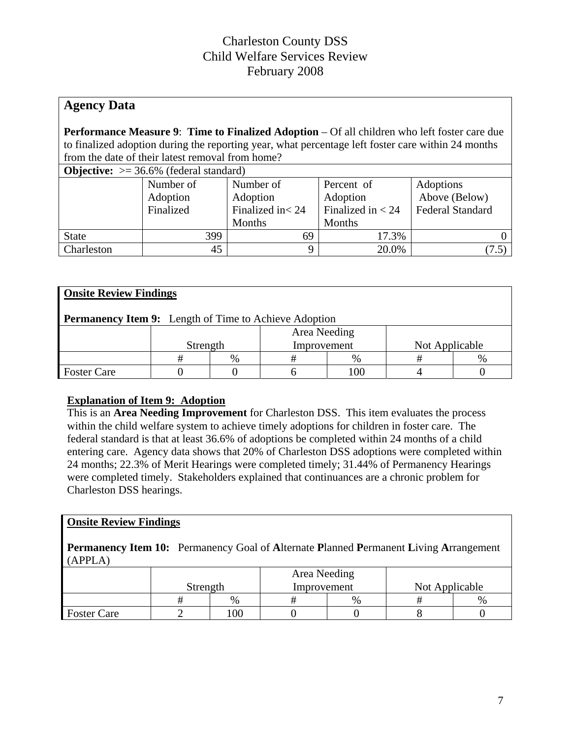# **Agency Data**

**Performance Measure 9**: **Time to Finalized Adoption** – Of all children who left foster care due to finalized adoption during the reporting year, what percentage left foster care within 24 months from the date of their latest removal from home?

| <b>Objective:</b> $>= 36.6\%$ (federal standard) |  |  |  |
|--------------------------------------------------|--|--|--|
|--------------------------------------------------|--|--|--|

| $\sim$ $\sim$ $\sim$ $\sim$ $\sim$ $\sim$<br>$50000$ $(10000)$ |           |                   |                     |                         |  |  |  |  |
|----------------------------------------------------------------|-----------|-------------------|---------------------|-------------------------|--|--|--|--|
|                                                                | Number of | Number of         | Percent of          | Adoptions               |  |  |  |  |
|                                                                | Adoption  | Adoption          | Adoption            | Above (Below)           |  |  |  |  |
|                                                                | Finalized | Finalized in < 24 | Finalized in $<$ 24 | <b>Federal Standard</b> |  |  |  |  |
|                                                                |           | Months            | Months              |                         |  |  |  |  |
| <b>State</b>                                                   | 399       | 69                | 17.3%               |                         |  |  |  |  |
| Charleston                                                     | 45        |                   | 20.0%               | 7.5                     |  |  |  |  |

| <b>Onsite Review Findings</b>                                |          |   |             |              |                |      |  |  |
|--------------------------------------------------------------|----------|---|-------------|--------------|----------------|------|--|--|
| <b>Permanency Item 9:</b> Length of Time to Achieve Adoption |          |   |             |              |                |      |  |  |
|                                                              |          |   |             | Area Needing |                |      |  |  |
|                                                              | Strength |   | Improvement |              | Not Applicable |      |  |  |
|                                                              |          | % |             | $\%$         |                | $\%$ |  |  |
| <b>Foster Care</b>                                           |          |   |             |              |                |      |  |  |

#### **Explanation of Item 9: Adoption**

This is an **Area Needing Improvement** for Charleston DSS. This item evaluates the process within the child welfare system to achieve timely adoptions for children in foster care. The federal standard is that at least 36.6% of adoptions be completed within 24 months of a child entering care. Agency data shows that 20% of Charleston DSS adoptions were completed within 24 months; 22.3% of Merit Hearings were completed timely; 31.44% of Permanency Hearings were completed timely. Stakeholders explained that continuances are a chronic problem for Charleston DSS hearings.

#### **Onsite Review Findings**

**Permanency Item 10:** Permanency Goal of **A**lternate **P**lanned **P**ermanent **L**iving **A**rrangement (APPLA)

|                    |          |      | Area Needing |      |                |      |
|--------------------|----------|------|--------------|------|----------------|------|
|                    | Strength |      | Improvement  |      | Not Applicable |      |
|                    |          | $\%$ |              | $\%$ |                | $\%$ |
| <b>Foster Care</b> |          | 100  |              |      |                |      |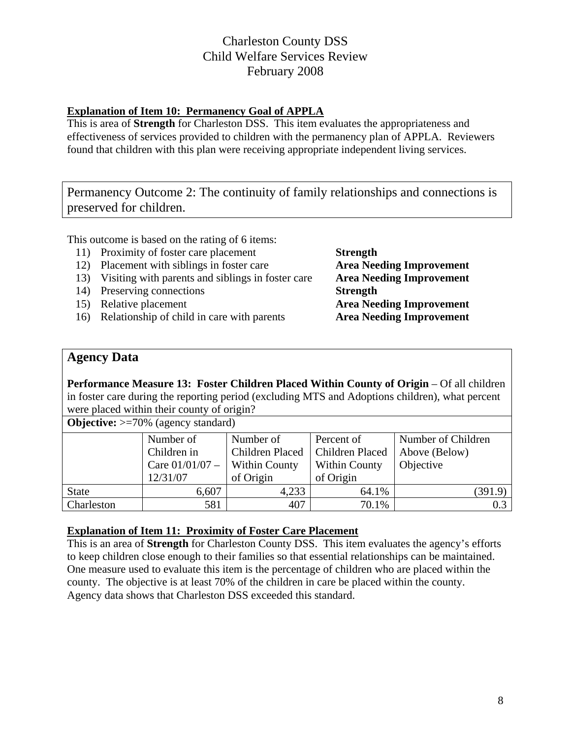#### **Explanation of Item 10: Permanency Goal of APPLA**

This is area of **Strength** for Charleston DSS. This item evaluates the appropriateness and effectiveness of services provided to children with the permanency plan of APPLA. Reviewers found that children with this plan were receiving appropriate independent living services.

Permanency Outcome 2: The continuity of family relationships and connections is preserved for children.

This outcome is based on the rating of 6 items:

- 11) Proximity of foster care placement **Strength**
- 12) Placement with siblings in foster care **Area Needing Improvement**
- 13) Visiting with parents and siblings in foster care **Area Needing Improvement**
- 14) Preserving connections **Strength**
- 
- 16) Relationship of child in care with parents **Area Needing Improvement**

15) Relative placement **Area Needing Improvement**

### **Agency Data**

**Performance Measure 13: Foster Children Placed Within County of Origin** – Of all children in foster care during the reporting period (excluding MTS and Adoptions children), what percent were placed within their county of origin?

**Objective:**  $>=70\%$  (agency standard)

|              | Number of         | Number of                         | Percent of           | Number of Children |
|--------------|-------------------|-----------------------------------|----------------------|--------------------|
|              | Children in       | Children Placed   Children Placed |                      | Above (Below)      |
|              | Care $01/01/07$ – | <b>Within County</b>              | <b>Within County</b> | Objective          |
|              | 12/31/07          | of Origin                         | of Origin            |                    |
| <b>State</b> | 6,607             | 4,233                             | 64.1%                | (391.9)            |
| Charleston   | 581               | 407                               | 70.1%                | 0.3                |

#### **Explanation of Item 11: Proximity of Foster Care Placement**

This is an area of **Strength** for Charleston County DSS. This item evaluates the agency's efforts to keep children close enough to their families so that essential relationships can be maintained. One measure used to evaluate this item is the percentage of children who are placed within the county. The objective is at least 70% of the children in care be placed within the county. Agency data shows that Charleston DSS exceeded this standard.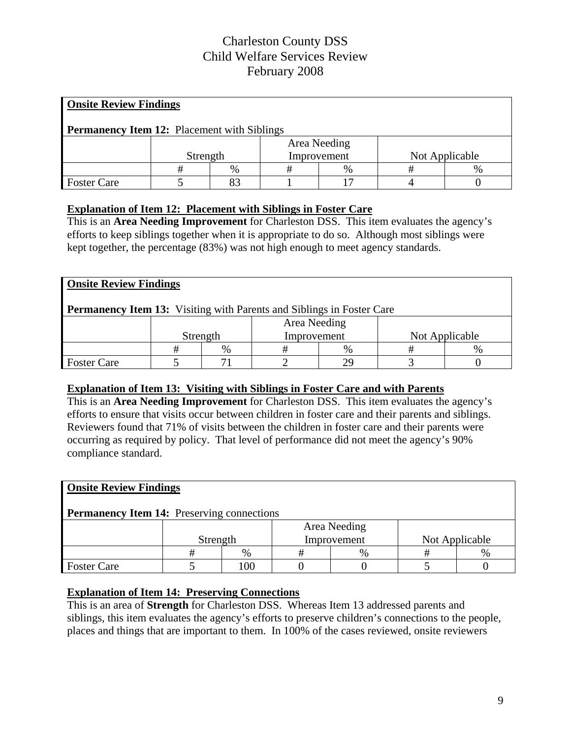| <b>Onsite Review Findings</b>                      |          |      |             |              |  |                |  |  |
|----------------------------------------------------|----------|------|-------------|--------------|--|----------------|--|--|
| <b>Permanency Item 12: Placement with Siblings</b> |          |      |             |              |  |                |  |  |
|                                                    |          |      |             | Area Needing |  |                |  |  |
|                                                    | Strength |      | Improvement |              |  | Not Applicable |  |  |
|                                                    |          | $\%$ |             | $\%$         |  | $\%$           |  |  |
| <b>Foster Care</b>                                 |          | 83   |             |              |  |                |  |  |

#### **Explanation of Item 12: Placement with Siblings in Foster Care**

This is an **Area Needing Improvement** for Charleston DSS. This item evaluates the agency's efforts to keep siblings together when it is appropriate to do so. Although most siblings were kept together, the percentage (83%) was not high enough to meet agency standards.

| <b>Onsite Review Findings</b>                                                |              |          |             |      |  |                |  |  |
|------------------------------------------------------------------------------|--------------|----------|-------------|------|--|----------------|--|--|
| <b>Permanency Item 13:</b> Visiting with Parents and Siblings in Foster Care |              |          |             |      |  |                |  |  |
|                                                                              | Area Needing |          |             |      |  |                |  |  |
|                                                                              |              | Strength | Improvement |      |  | Not Applicable |  |  |
|                                                                              |              | $\%$     |             | $\%$ |  | $\%$           |  |  |
| <b>Foster Care</b>                                                           |              |          |             |      |  |                |  |  |

#### **Explanation of Item 13: Visiting with Siblings in Foster Care and with Parents**

This is an **Area Needing Improvement** for Charleston DSS. This item evaluates the agency's efforts to ensure that visits occur between children in foster care and their parents and siblings. Reviewers found that 71% of visits between the children in foster care and their parents were occurring as required by policy. That level of performance did not meet the agency's 90% compliance standard.

| <b>Onsite Review Findings</b>                     |              |    |  |             |  |                |  |  |
|---------------------------------------------------|--------------|----|--|-------------|--|----------------|--|--|
| <b>Permanency Item 14:</b> Preserving connections |              |    |  |             |  |                |  |  |
|                                                   | Area Needing |    |  |             |  |                |  |  |
|                                                   | Strength     |    |  | Improvement |  | Not Applicable |  |  |
|                                                   |              | %  |  | $\%$        |  | %              |  |  |
| <b>Foster Care</b>                                |              | 00 |  |             |  |                |  |  |

#### **Explanation of Item 14: Preserving Connections**

This is an area of **Strength** for Charleston DSS. Whereas Item 13 addressed parents and siblings, this item evaluates the agency's efforts to preserve children's connections to the people, places and things that are important to them. In 100% of the cases reviewed, onsite reviewers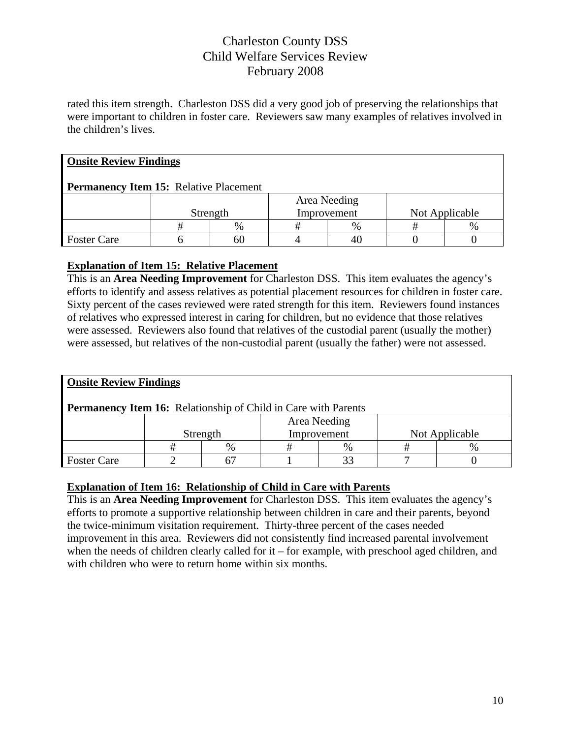rated this item strength. Charleston DSS did a very good job of preserving the relationships that were important to children in foster care. Reviewers saw many examples of relatives involved in the children's lives.

| <b>Onsite Review Findings</b>                 |              |               |  |               |  |                |  |  |
|-----------------------------------------------|--------------|---------------|--|---------------|--|----------------|--|--|
| <b>Permanency Item 15: Relative Placement</b> |              |               |  |               |  |                |  |  |
|                                               | Area Needing |               |  |               |  |                |  |  |
|                                               |              | Strength      |  | Improvement   |  | Not Applicable |  |  |
|                                               |              | $\frac{0}{0}$ |  | $\frac{0}{0}$ |  | $\%$           |  |  |
| <b>Foster Care</b>                            |              | 60            |  |               |  |                |  |  |

#### **Explanation of Item 15: Relative Placement**

This is an **Area Needing Improvement** for Charleston DSS. This item evaluates the agency's efforts to identify and assess relatives as potential placement resources for children in foster care. Sixty percent of the cases reviewed were rated strength for this item. Reviewers found instances of relatives who expressed interest in caring for children, but no evidence that those relatives were assessed. Reviewers also found that relatives of the custodial parent (usually the mother) were assessed, but relatives of the non-custodial parent (usually the father) were not assessed.

| <b>Onsite Review Findings</b>                                         |              |                         |  |      |  |                |  |  |
|-----------------------------------------------------------------------|--------------|-------------------------|--|------|--|----------------|--|--|
| <b>Permanency Item 16:</b> Relationship of Child in Care with Parents |              |                         |  |      |  |                |  |  |
|                                                                       | Area Needing |                         |  |      |  |                |  |  |
|                                                                       |              | Strength<br>Improvement |  |      |  | Not Applicable |  |  |
|                                                                       | #            | $\%$                    |  | $\%$ |  | %              |  |  |
| <b>Foster Care</b>                                                    |              |                         |  |      |  |                |  |  |

#### **Explanation of Item 16: Relationship of Child in Care with Parents**

This is an **Area Needing Improvement** for Charleston DSS. This item evaluates the agency's efforts to promote a supportive relationship between children in care and their parents, beyond the twice-minimum visitation requirement. Thirty-three percent of the cases needed improvement in this area. Reviewers did not consistently find increased parental involvement when the needs of children clearly called for it – for example, with preschool aged children, and with children who were to return home within six months.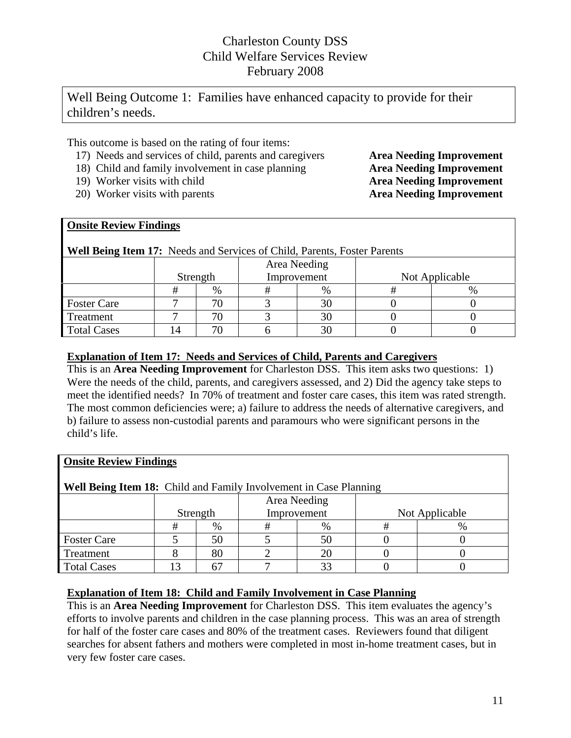Well Being Outcome 1: Families have enhanced capacity to provide for their children's needs.

This outcome is based on the rating of four items:

- 17) Needs and services of child, parents and caregivers **Area Needing Improvement**
- 18) Child and family involvement in case planning **Area Needing Improvement**
- 
- 20) Worker visits with parents **Area Needing Improvement**

19) Worker visits with child **Area Needing Improvement**

#### **Onsite Review Findings**

| <b>Well Being Item 17:</b> Needs and Services of Child, Parents, Foster Parents |              |      |  |             |                |  |  |  |  |
|---------------------------------------------------------------------------------|--------------|------|--|-------------|----------------|--|--|--|--|
|                                                                                 | Area Needing |      |  |             |                |  |  |  |  |
|                                                                                 | Strength     |      |  | Improvement | Not Applicable |  |  |  |  |
|                                                                                 | #            | $\%$ |  | $\%$        |                |  |  |  |  |
| <b>Foster Care</b>                                                              |              |      |  |             |                |  |  |  |  |
| Treatment                                                                       |              |      |  |             |                |  |  |  |  |
| <b>Total Cases</b>                                                              | 14           |      |  |             |                |  |  |  |  |

#### **Explanation of Item 17: Needs and Services of Child, Parents and Caregivers**

This is an **Area Needing Improvement** for Charleston DSS. This item asks two questions: 1) Were the needs of the child, parents, and caregivers assessed, and 2) Did the agency take steps to meet the identified needs? In 70% of treatment and foster care cases, this item was rated strength. The most common deficiencies were; a) failure to address the needs of alternative caregivers, and b) failure to assess non-custodial parents and paramours who were significant persons in the child's life.

| <b>Onsite Review Findings</b>                                            |          |      |   |              |                |      |  |  |  |
|--------------------------------------------------------------------------|----------|------|---|--------------|----------------|------|--|--|--|
| <b>Well Being Item 18:</b> Child and Family Involvement in Case Planning |          |      |   |              |                |      |  |  |  |
|                                                                          |          |      |   | Area Needing |                |      |  |  |  |
|                                                                          | Strength |      |   | Improvement  | Not Applicable |      |  |  |  |
|                                                                          | #        | $\%$ | # | $\%$         | #              | $\%$ |  |  |  |
| <b>Foster Care</b>                                                       |          | 50   |   | 50           |                |      |  |  |  |
| Treatment                                                                |          | 80   |   | 20           |                |      |  |  |  |
| <b>Total Cases</b>                                                       |          | 67   |   | 33           |                |      |  |  |  |

#### **Explanation of Item 18: Child and Family Involvement in Case Planning**

This is an **Area Needing Improvement** for Charleston DSS. This item evaluates the agency's efforts to involve parents and children in the case planning process. This was an area of strength for half of the foster care cases and 80% of the treatment cases. Reviewers found that diligent searches for absent fathers and mothers were completed in most in-home treatment cases, but in very few foster care cases.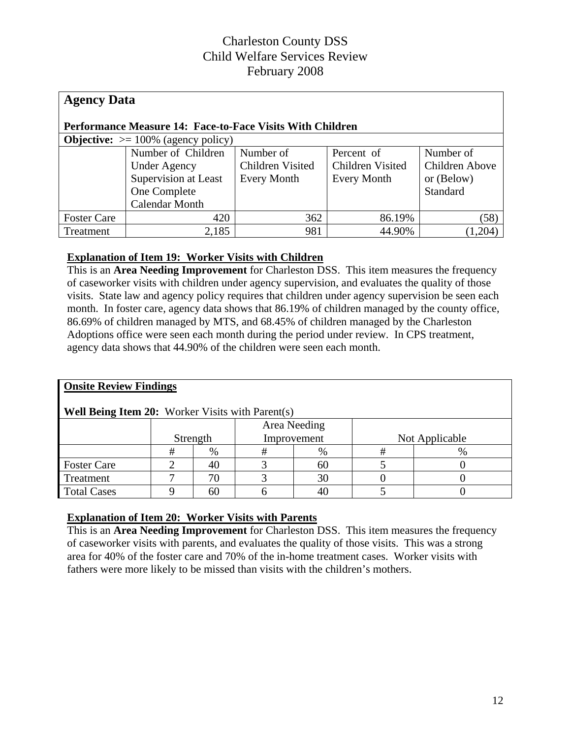| <b>Agency Data</b>                                               |                       |                  |                         |                |  |  |  |  |  |
|------------------------------------------------------------------|-----------------------|------------------|-------------------------|----------------|--|--|--|--|--|
| <b>Performance Measure 14: Face-to-Face Visits With Children</b> |                       |                  |                         |                |  |  |  |  |  |
| <b>Objective:</b> $> = 100\%$ (agency policy)                    |                       |                  |                         |                |  |  |  |  |  |
|                                                                  | Number of Children    | Number of        | Percent of              | Number of      |  |  |  |  |  |
|                                                                  | <b>Under Agency</b>   | Children Visited | <b>Children Visited</b> | Children Above |  |  |  |  |  |
|                                                                  | Supervision at Least  | Every Month      | <b>Every Month</b>      | or (Below)     |  |  |  |  |  |
|                                                                  | One Complete          |                  |                         | Standard       |  |  |  |  |  |
|                                                                  | <b>Calendar Month</b> |                  |                         |                |  |  |  |  |  |
| <b>Foster Care</b>                                               | 420                   | 362              | 86.19%                  | (58)           |  |  |  |  |  |
| Treatment                                                        | 2,185                 | 981              | 44.90%                  | (1,204)        |  |  |  |  |  |

#### **Explanation of Item 19: Worker Visits with Children**

This is an **Area Needing Improvement** for Charleston DSS.This item measures the frequency of caseworker visits with children under agency supervision, and evaluates the quality of those visits. State law and agency policy requires that children under agency supervision be seen each month. In foster care, agency data shows that 86.19% of children managed by the county office, 86.69% of children managed by MTS, and 68.45% of children managed by the Charleston Adoptions office were seen each month during the period under review. In CPS treatment, agency data shows that 44.90% of the children were seen each month.

| <b>Onsite Review Findings</b>                           |          |    |              |    |                |      |  |  |
|---------------------------------------------------------|----------|----|--------------|----|----------------|------|--|--|
| <b>Well Being Item 20:</b> Worker Visits with Parent(s) |          |    |              |    |                |      |  |  |
|                                                         |          |    | Area Needing |    |                |      |  |  |
|                                                         | Strength |    | Improvement  |    | Not Applicable |      |  |  |
|                                                         | #        | %  | #            | %  | ᇁ              | $\%$ |  |  |
| <b>Foster Care</b>                                      |          | 40 |              | 60 |                |      |  |  |
| Treatment                                               | −        | 70 |              | 30 |                |      |  |  |
| <b>Total Cases</b>                                      |          | 60 |              | 40 |                |      |  |  |

#### **Explanation of Item 20: Worker Visits with Parents**

This is an **Area Needing Improvement** for Charleston DSS. This item measures the frequency of caseworker visits with parents, and evaluates the quality of those visits. This was a strong area for 40% of the foster care and 70% of the in-home treatment cases. Worker visits with fathers were more likely to be missed than visits with the children's mothers.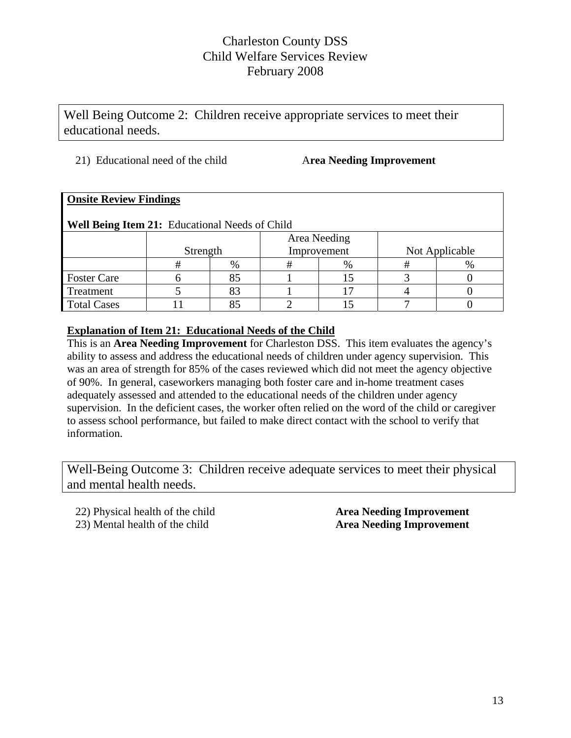Well Being Outcome 2: Children receive appropriate services to meet their educational needs.

#### 21) Educational need of the child A**rea Needing Improvement**

| <b>Onsite Review Findings</b>                  |              |      |   |             |                |   |  |  |  |
|------------------------------------------------|--------------|------|---|-------------|----------------|---|--|--|--|
| Well Being Item 21: Educational Needs of Child |              |      |   |             |                |   |  |  |  |
|                                                | Area Needing |      |   |             |                |   |  |  |  |
|                                                | Strength     |      |   | Improvement | Not Applicable |   |  |  |  |
|                                                | #            | $\%$ | # | $\%$        | #              | % |  |  |  |
| <b>Foster Care</b>                             |              | 85   |   | 15          |                |   |  |  |  |
| Treatment                                      |              | 83   |   |             |                |   |  |  |  |
| <b>Total Cases</b>                             |              |      |   |             |                |   |  |  |  |

#### **Explanation of Item 21: Educational Needs of the Child**

This is an **Area Needing Improvement** for Charleston DSS. This item evaluates the agency's ability to assess and address the educational needs of children under agency supervision. This was an area of strength for 85% of the cases reviewed which did not meet the agency objective of 90%. In general, caseworkers managing both foster care and in-home treatment cases adequately assessed and attended to the educational needs of the children under agency supervision. In the deficient cases, the worker often relied on the word of the child or caregiver to assess school performance, but failed to make direct contact with the school to verify that information.

Well-Being Outcome 3: Children receive adequate services to meet their physical and mental health needs.

22) Physical health of the child **Area Needing Improvement**

# 23) Mental health of the child **Area Needing Improvement**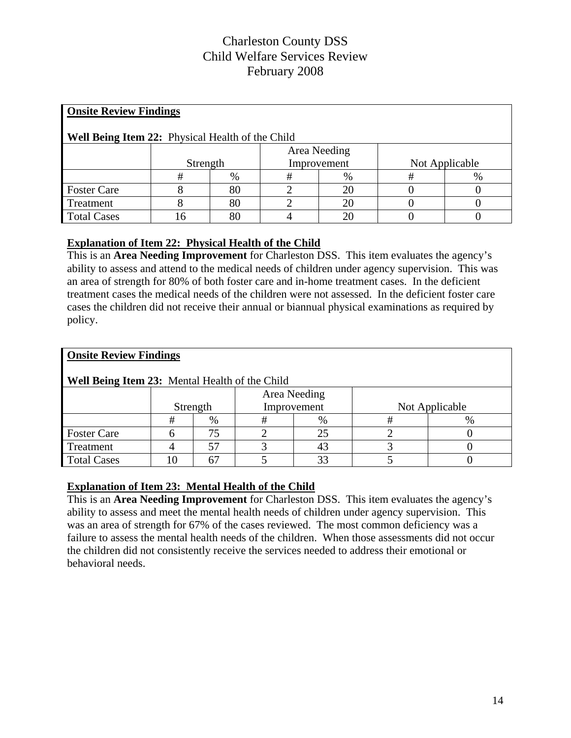| <b>Onsite Review Findings</b>                           |          |    |             |              |                |      |  |
|---------------------------------------------------------|----------|----|-------------|--------------|----------------|------|--|
| <b>Well Being Item 22:</b> Physical Health of the Child |          |    |             |              |                |      |  |
|                                                         |          |    |             | Area Needing |                |      |  |
|                                                         | Strength |    | Improvement |              | Not Applicable |      |  |
|                                                         | #        | %  | #           | $\%$         |                | $\%$ |  |
| <b>Foster Care</b>                                      |          | 80 |             | 20           |                |      |  |
| Treatment                                               |          | 80 |             | 20           |                |      |  |
| <b>Total Cases</b>                                      | რ        | 80 |             | 20           |                |      |  |

#### **Explanation of Item 22: Physical Health of the Child**

This is an **Area Needing Improvement** for Charleston DSS.This item evaluates the agency's ability to assess and attend to the medical needs of children under agency supervision. This was an area of strength for 80% of both foster care and in-home treatment cases. In the deficient treatment cases the medical needs of the children were not assessed. In the deficient foster care cases the children did not receive their annual or biannual physical examinations as required by policy.

| <b>Onsite Review Findings</b>                  |          |      |              |      |                |      |  |
|------------------------------------------------|----------|------|--------------|------|----------------|------|--|
| Well Being Item 23: Mental Health of the Child |          |      |              |      |                |      |  |
|                                                |          |      | Area Needing |      |                |      |  |
|                                                | Strength |      | Improvement  |      | Not Applicable |      |  |
|                                                | #        | $\%$ | #            | $\%$ | #              | $\%$ |  |
| <b>Foster Care</b>                             |          | 75   |              | 25   |                |      |  |
| Treatment                                      |          | 57   |              | 43   |                |      |  |
| <b>Total Cases</b>                             | ۱0       |      |              | 33   |                |      |  |

#### **Explanation of Item 23: Mental Health of the Child**

This is an **Area Needing Improvement** for Charleston DSS. This item evaluates the agency's ability to assess and meet the mental health needs of children under agency supervision. This was an area of strength for 67% of the cases reviewed. The most common deficiency was a failure to assess the mental health needs of the children. When those assessments did not occur the children did not consistently receive the services needed to address their emotional or behavioral needs.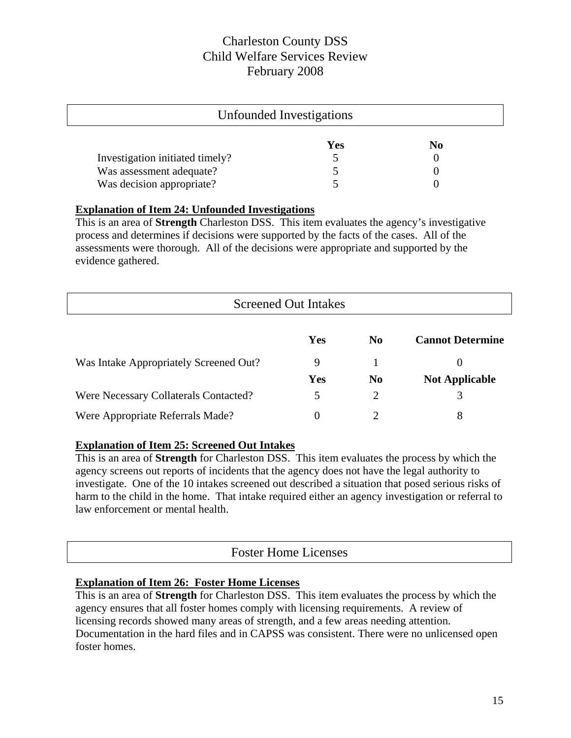| Unfounded Investigations        |     |                |  |  |  |
|---------------------------------|-----|----------------|--|--|--|
|                                 | Yes | N <sub>0</sub> |  |  |  |
| Investigation initiated timely? |     |                |  |  |  |
| Was assessment adequate?        |     |                |  |  |  |
| Was decision appropriate?       |     |                |  |  |  |

#### **Explanation of Item 24: Unfounded Investigations**

This is an area of **Strength** Charleston DSS. This item evaluates the agency's investigative process and determines if decisions were supported by the facts of the cases. All of the assessments were thorough. All of the decisions were appropriate and supported by the evidence gathered.

| <b>Screened Out Intakes</b>            |            |                |                         |  |  |  |
|----------------------------------------|------------|----------------|-------------------------|--|--|--|
|                                        | Yes        | N <sub>0</sub> | <b>Cannot Determine</b> |  |  |  |
| Was Intake Appropriately Screened Out? | 9          |                | $\theta$                |  |  |  |
|                                        | <b>Yes</b> | N <sub>0</sub> | <b>Not Applicable</b>   |  |  |  |
| Were Necessary Collaterals Contacted?  | 5          |                | 3                       |  |  |  |
| Were Appropriate Referrals Made?       | $\theta$   |                | 8                       |  |  |  |

#### **Explanation of Item 25: Screened Out Intakes**

This is an area of **Strength** for Charleston DSS. This item evaluates the process by which the agency screens out reports of incidents that the agency does not have the legal authority to investigate. One of the 10 intakes screened out described a situation that posed serious risks of harm to the child in the home. That intake required either an agency investigation or referral to law enforcement or mental health.

# Foster Home Licenses

#### **Explanation of Item 26: Foster Home Licenses**

This is an area of **Strength** for Charleston DSS. This item evaluates the process by which the agency ensures that all foster homes comply with licensing requirements. A review of licensing records showed many areas of strength, and a few areas needing attention. Documentation in the hard files and in CAPSS was consistent. There were no unlicensed open foster homes.